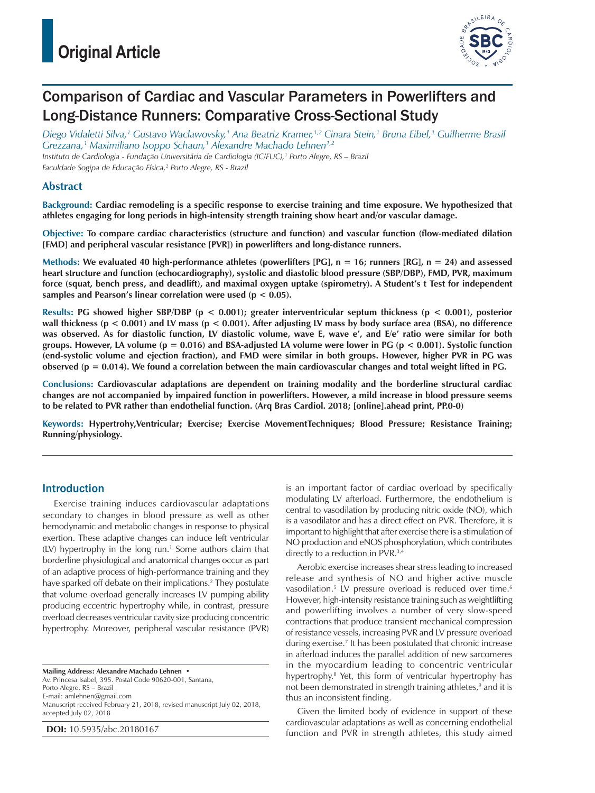

# Comparison of Cardiac and Vascular Parameters in Powerlifters and Long-Distance Runners: Comparative Cross-Sectional Study

*Diego Vidaletti Silva,1 Gustavo Waclawovsky,1 Ana Beatriz Kramer,1,2 Cinara Stein,1 Bruna Eibel,1 Guilherme Brasil Grezzana,1 Maximiliano Isoppo Schaun,1 Alexandre Machado Lehnen1,2 Instituto de Cardiologia - Fundação Universitária de Cardiologia (IC/FUC),1 Porto Alegre, RS – Brazil*

*Faculdade Sogipa de Educação Física,2 Porto Alegre, RS - Brazil*

## **Abstract**

**Background: Cardiac remodeling is a specific response to exercise training and time exposure. We hypothesized that athletes engaging for long periods in high-intensity strength training show heart and/or vascular damage.**

**Objective: To compare cardiac characteristics (structure and function) and vascular function (flow-mediated dilation [FMD] and peripheral vascular resistance [PVR]) in powerlifters and long-distance runners.**

**Methods: We evaluated 40 high-performance athletes (powerlifters [PG], n = 16; runners [RG], n = 24) and assessed heart structure and function (echocardiography), systolic and diastolic blood pressure (SBP/DBP), FMD, PVR, maximum force (squat, bench press, and deadlift), and maximal oxygen uptake (spirometry). A Student's t Test for independent samples and Pearson's linear correlation were used (p < 0.05).**

**Results: PG showed higher SBP/DBP (p < 0.001); greater interventricular septum thickness (p < 0.001), posterior wall thickness (p < 0.001) and LV mass (p < 0.001). After adjusting LV mass by body surface area (BSA), no difference was observed. As for diastolic function, LV diastolic volume, wave E, wave e', and E/e' ratio were similar for both groups. However, LA volume (p = 0.016) and BSA-adjusted LA volume were lower in PG (p < 0.001). Systolic function (end-systolic volume and ejection fraction), and FMD were similar in both groups. However, higher PVR in PG was observed (p = 0.014). We found a correlation between the main cardiovascular changes and total weight lifted in PG.**

**Conclusions: Cardiovascular adaptations are dependent on training modality and the borderline structural cardiac changes are not accompanied by impaired function in powerlifters. However, a mild increase in blood pressure seems to be related to PVR rather than endothelial function. (Arq Bras Cardiol. 2018; [online].ahead print, PP.0-0)**

**Keywords: Hypertrohy,Ventricular; Exercise; Exercise MovementTechniques; Blood Pressure; Resistance Training; Running/physiology.**

## Introduction

Exercise training induces cardiovascular adaptations secondary to changes in blood pressure as well as other hemodynamic and metabolic changes in response to physical exertion. These adaptive changes can induce left ventricular (LV) hypertrophy in the long run.1 Some authors claim that borderline physiological and anatomical changes occur as part of an adaptive process of high-performance training and they have sparked off debate on their implications.<sup>2</sup> They postulate that volume overload generally increases LV pumping ability producing eccentric hypertrophy while, in contrast, pressure overload decreases ventricular cavity size producing concentric hypertrophy. Moreover, peripheral vascular resistance (PVR)

**Mailing Address: Alexandre Machado Lehnen •** Av. Princesa Isabel, 395. Postal Code 90620-001, Santana, Porto Alegre, RS – Brazil E-mail: amlehnen@gmail.com

Manuscript received February 21, 2018, revised manuscript July 02, 2018, accepted July 02, 2018

**DOI:** 10.5935/abc.20180167

is an important factor of cardiac overload by specifically modulating LV afterload. Furthermore, the endothelium is central to vasodilation by producing nitric oxide (NO), which is a vasodilator and has a direct effect on PVR. Therefore, it is important to highlight that after exercise there is a stimulation of NO production and eNOS phosphorylation, which contributes directly to a reduction in PVR.<sup>3,4</sup>

Aerobic exercise increases shear stress leading to increased release and synthesis of NO and higher active muscle vasodilation.<sup>5</sup> LV pressure overload is reduced over time.<sup>6</sup> However, high-intensity resistance training such as weightlifting and powerlifting involves a number of very slow-speed contractions that produce transient mechanical compression of resistance vessels, increasing PVR and LV pressure overload during exercise.<sup>7</sup> It has been postulated that chronic increase in afterload induces the parallel addition of new sarcomeres in the myocardium leading to concentric ventricular hypertrophy.<sup>8</sup> Yet, this form of ventricular hypertrophy has not been demonstrated in strength training athletes,<sup>9</sup> and it is thus an inconsistent finding.

Given the limited body of evidence in support of these cardiovascular adaptations as well as concerning endothelial function and PVR in strength athletes, this study aimed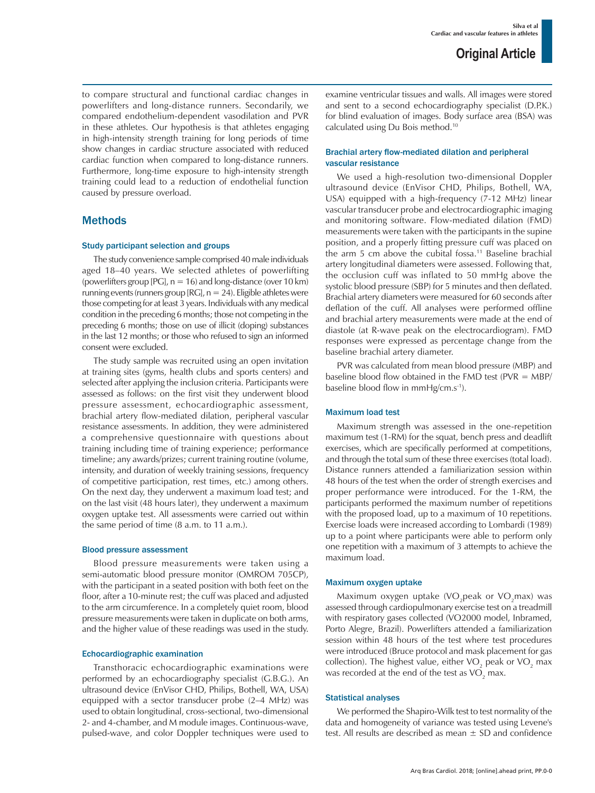to compare structural and functional cardiac changes in powerlifters and long-distance runners. Secondarily, we compared endothelium-dependent vasodilation and PVR in these athletes. Our hypothesis is that athletes engaging in high-intensity strength training for long periods of time show changes in cardiac structure associated with reduced cardiac function when compared to long-distance runners. Furthermore, long-time exposure to high-intensity strength training could lead to a reduction of endothelial function caused by pressure overload.

## Methods

#### Study participant selection and groups

The study convenience sample comprised 40 male individuals aged 18–40 years. We selected athletes of powerlifting (powerlifters group [PG],  $n = 16$ ) and long-distance (over 10 km) running events (runners group [RG],  $n = 24$ ). Eligible athletes were those competing for at least 3 years. Individuals with any medical condition in the preceding 6 months; those not competing in the preceding 6 months; those on use of illicit (doping) substances in the last 12 months; or those who refused to sign an informed consent were excluded.

The study sample was recruited using an open invitation at training sites (gyms, health clubs and sports centers) and selected after applying the inclusion criteria. Participants were assessed as follows: on the first visit they underwent blood pressure assessment, echocardiographic assessment, brachial artery flow-mediated dilation, peripheral vascular resistance assessments. In addition, they were administered a comprehensive questionnaire with questions about training including time of training experience; performance timeline; any awards/prizes; current training routine (volume, intensity, and duration of weekly training sessions, frequency of competitive participation, rest times, etc.) among others. On the next day, they underwent a maximum load test; and on the last visit (48 hours later), they underwent a maximum oxygen uptake test. All assessments were carried out within the same period of time (8 a.m. to 11 a.m.).

#### Blood pressure assessment

Blood pressure measurements were taken using a semi-automatic blood pressure monitor (OMROM 705CP), with the participant in a seated position with both feet on the floor, after a 10-minute rest; the cuff was placed and adjusted to the arm circumference. In a completely quiet room, blood pressure measurements were taken in duplicate on both arms, and the higher value of these readings was used in the study.

## Echocardiographic examination

Transthoracic echocardiographic examinations were performed by an echocardiography specialist (G.B.G.). An ultrasound device (EnVisor CHD, Philips, Bothell, WA, USA) equipped with a sector transducer probe (2–4 MHz) was used to obtain longitudinal, cross-sectional, two-dimensional 2- and 4-chamber, and M module images. Continuous-wave, pulsed-wave, and color Doppler techniques were used to examine ventricular tissues and walls. All images were stored and sent to a second echocardiography specialist (D.P.K.) for blind evaluation of images. Body surface area (BSA) was calculated using Du Bois method.10

## Brachial artery flow-mediated dilation and peripheral vascular resistance

We used a high-resolution two-dimensional Doppler ultrasound device (EnVisor CHD, Philips, Bothell, WA, USA) equipped with a high-frequency (7-12 MHz) linear vascular transducer probe and electrocardiographic imaging and monitoring software. Flow-mediated dilation (FMD) measurements were taken with the participants in the supine position, and a properly fitting pressure cuff was placed on the arm 5 cm above the cubital fossa.<sup>11</sup> Baseline brachial artery longitudinal diameters were assessed. Following that, the occlusion cuff was inflated to 50 mmHg above the systolic blood pressure (SBP) for 5 minutes and then deflated. Brachial artery diameters were measured for 60 seconds after deflation of the cuff. All analyses were performed offline and brachial artery measurements were made at the end of diastole (at R-wave peak on the electrocardiogram). FMD responses were expressed as percentage change from the baseline brachial artery diameter.

PVR was calculated from mean blood pressure (MBP) and baseline blood flow obtained in the FMD test (PVR = MBP/ baseline blood flow in mmHg/cm.s-1).

## Maximum load test

Maximum strength was assessed in the one-repetition maximum test (1-RM) for the squat, bench press and deadlift exercises, which are specifically performed at competitions, and through the total sum of these three exercises (total load). Distance runners attended a familiarization session within 48 hours of the test when the order of strength exercises and proper performance were introduced. For the 1-RM, the participants performed the maximum number of repetitions with the proposed load, up to a maximum of 10 repetitions. Exercise loads were increased according to Lombardi (1989) up to a point where participants were able to perform only one repetition with a maximum of 3 attempts to achieve the maximum load.

## Maximum oxygen uptake

Maximum oxygen uptake (VO<sub>2</sub>peak or VO<sub>2</sub>max) was assessed through cardiopulmonary exercise test on a treadmill with respiratory gases collected (VO2000 model, Inbramed, Porto Alegre, Brazil). Powerlifters attended a familiarization session within 48 hours of the test where test procedures were introduced (Bruce protocol and mask placement for gas collection). The highest value, either VO<sub>2</sub> peak or VO<sub>2</sub> max was recorded at the end of the test as VO<sub>2</sub> max.

## Statistical analyses

We performed the Shapiro-Wilk test to test normality of the data and homogeneity of variance was tested using Levene's test. All results are described as mean  $\pm$  SD and confidence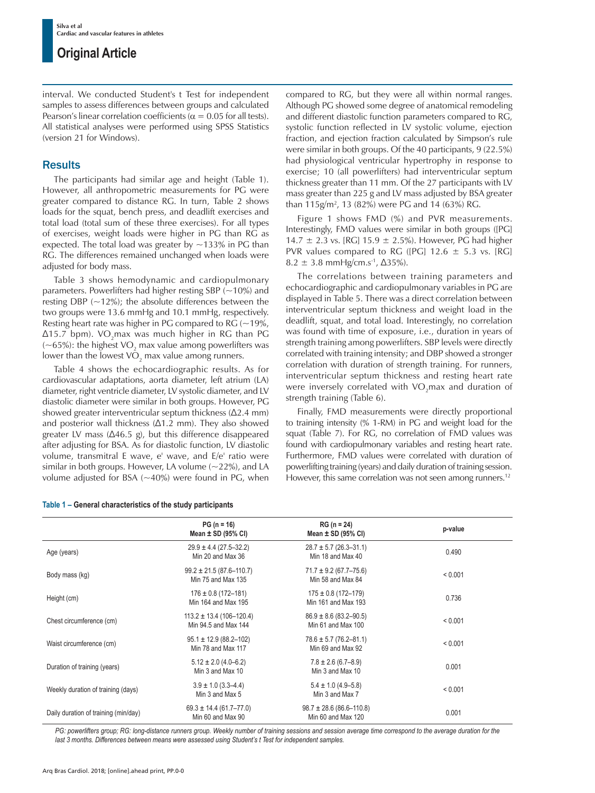interval. We conducted Student's t Test for independent samples to assess differences between groups and calculated Pearson's linear correlation coefficients ( $\alpha$  = 0.05 for all tests). All statistical analyses were performed using SPSS Statistics (version 21 for Windows).

## **Results**

The participants had similar age and height (Table 1). However, all anthropometric measurements for PG were greater compared to distance RG. In turn, Table 2 shows loads for the squat, bench press, and deadlift exercises and total load (total sum of these three exercises). For all types of exercises, weight loads were higher in PG than RG as expected. The total load was greater by  $\sim$ 133% in PG than RG. The differences remained unchanged when loads were adjusted for body mass.

Table 3 shows hemodynamic and cardiopulmonary parameters. Powerlifters had higher resting SBP  $(-10\%)$  and resting DBP  $(-12\%)$ ; the absolute differences between the two groups were 13.6 mmHg and 10.1 mmHg, respectively. Resting heart rate was higher in PG compared to RG  $(-19\%$ ,  $\Delta$ 15.7 bpm). VO<sub>2</sub>max was much higher in RG than PG (~65%): the highest VO<sub>2</sub> max value among powerlifters was lower than the lowest VO $_{\textrm{\tiny{2}}}$  max value among runners.

Table 4 shows the echocardiographic results. As for cardiovascular adaptations, aorta diameter, left atrium (LA) diameter, right ventricle diameter, LV systolic diameter, and LV diastolic diameter were similar in both groups. However, PG showed greater interventricular septum thickness (Δ2.4 mm) and posterior wall thickness (Δ1.2 mm). They also showed greater LV mass (Δ46.5 g), but this difference disappeared after adjusting for BSA. As for diastolic function, LV diastolic volume, transmitral E wave, e' wave, and E/e' ratio were similar in both groups. However, LA volume  $(-22\%)$ , and LA volume adjusted for BSA  $(-40%)$  were found in PG, when

| Table 1 - General characteristics of the study participants |  |
|-------------------------------------------------------------|--|
|-------------------------------------------------------------|--|

compared to RG, but they were all within normal ranges. Although PG showed some degree of anatomical remodeling and different diastolic function parameters compared to RG, systolic function reflected in LV systolic volume, ejection fraction, and ejection fraction calculated by Simpson's rule were similar in both groups. Of the 40 participants, 9 (22.5%) had physiological ventricular hypertrophy in response to exercise; 10 (all powerlifters) had interventricular septum thickness greater than 11 mm. Of the 27 participants with LV mass greater than 225 g and LV mass adjusted by BSA greater than 115g/m2 , 13 (82%) were PG and 14 (63%) RG.

Figure 1 shows FMD (%) and PVR measurements. Interestingly, FMD values were similar in both groups ([PG] 14.7  $\pm$  2.3 vs. [RG] 15.9  $\pm$  2.5%). However, PG had higher PVR values compared to RG ([PG]  $12.6 \pm 5.3$  vs. [RG] 8.2  $\pm$  3.8 mmHg/cm.s<sup>-1</sup>,  $\Delta$ 35%).

The correlations between training parameters and echocardiographic and cardiopulmonary variables in PG are displayed in Table 5. There was a direct correlation between interventricular septum thickness and weight load in the deadlift, squat, and total load. Interestingly, no correlation was found with time of exposure, i.e., duration in years of strength training among powerlifters. SBP levels were directly correlated with training intensity; and DBP showed a stronger correlation with duration of strength training. For runners, interventricular septum thickness and resting heart rate were inversely correlated with VO<sub>2</sub>max and duration of strength training (Table 6).

Finally, FMD measurements were directly proportional to training intensity (% 1-RM) in PG and weight load for the squat (Table 7). For RG, no correlation of FMD values was found with cardiopulmonary variables and resting heart rate. Furthermore, FMD values were correlated with duration of powerlifting training (years) and daily duration of training session. However, this same correlation was not seen among runners.<sup>12</sup>

|                                      | $PG (n = 16)$<br>Mean $\pm$ SD (95% CI)                                                                 | $RG (n = 24)$<br>Mean $\pm$ SD (95% CI)            | p-value |
|--------------------------------------|---------------------------------------------------------------------------------------------------------|----------------------------------------------------|---------|
| Age (years)                          | $29.9 \pm 4.4$ (27.5-32.2)<br>Min 20 and Max 36                                                         | $28.7 \pm 5.7$ (26.3–31.1)<br>Min 18 and Max 40    | 0.490   |
| Body mass (kg)                       | $99.2 \pm 21.5 (87.6 - 110.7)$<br>$71.7 \pm 9.2$ (67.7–75.6)<br>Min 75 and Max 135<br>Min 58 and Max 84 |                                                    | < 0.001 |
| Height (cm)                          | $176 \pm 0.8$ (172–181)<br>$175 \pm 0.8$ (172–179)<br>Min 164 and Max 195<br>Min 161 and Max 193        |                                                    | 0.736   |
| Chest circumference (cm)             | $113.2 \pm 13.4$ (106-120.4)<br>Min 94.5 and Max 144                                                    | $86.9 \pm 8.6$ (83.2-90.5)<br>Min 61 and Max 100   | < 0.001 |
| Waist circumference (cm)             | $95.1 \pm 12.9$ (88.2-102)<br>Min 78 and Max 117                                                        | $78.6 \pm 5.7$ (76.2–81.1)<br>Min 69 and Max 92    | < 0.001 |
| Duration of training (years)         | $5.12 \pm 2.0$ (4.0–6.2)<br>Min 3 and Max 10                                                            | $7.8 \pm 2.6$ (6.7–8.9)<br>Min 3 and Max 10        | 0.001   |
| Weekly duration of training (days)   | $3.9 \pm 1.0$ (3.3–4.4)<br>Min 3 and Max 5                                                              | $5.4 \pm 1.0$ (4.9–5.8)<br>Min 3 and Max 7         | < 0.001 |
| Daily duration of training (min/day) | $69.3 \pm 14.4$ (61.7–77.0)<br>Min 60 and Max 90                                                        | $98.7 \pm 28.6$ (86.6-110.8)<br>Min 60 and Max 120 | 0.001   |

PG: powerlifters group; RG: long-distance runners group. Weekly number of training sessions and session average time correspond to the average duration for the *last 3 months. Differences between means were assessed using Student's t Test for independent samples.*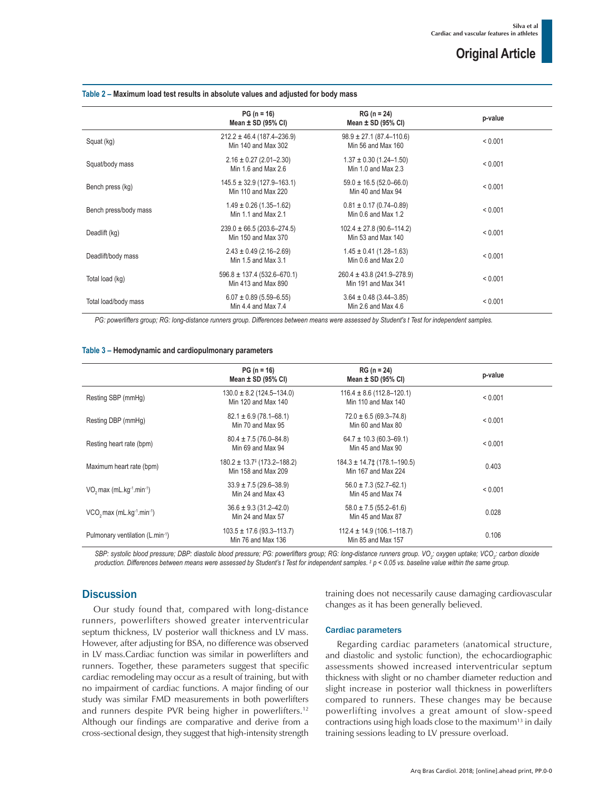|                                                                             | $PG (n = 16)$<br>Mean $\pm$ SD (95% CI)                  | $RG (n = 24)$<br>Mean $\pm$ SD (95% CI)                 | p-value |
|-----------------------------------------------------------------------------|----------------------------------------------------------|---------------------------------------------------------|---------|
| Squat (kg)                                                                  | $212.2 \pm 46.4 (187.4 - 236.9)$<br>Min 140 and Max 302  | $98.9 \pm 27.1$ (87.4-110.6)<br>Min 56 and Max 160      | < 0.001 |
| $2.16 \pm 0.27$ (2.01-2.30)<br>Squat/body mass<br>Min 1.6 and Max 2.6       |                                                          | $1.37 \pm 0.30$ (1.24-1.50)<br>Min 1.0 and Max 2.3      | < 0.001 |
| $145.5 \pm 32.9$ (127.9–163.1)<br>Bench press (kg)<br>Min 110 and Max 220   |                                                          | $59.0 \pm 16.5 (52.0 - 66.0)$<br>Min 40 and Max 94      | < 0.001 |
| $1.49 \pm 0.26$ (1.35–1.62)<br>Bench press/body mass<br>Min 1.1 and Max 2.1 |                                                          | $0.81 \pm 0.17$ (0.74-0.89)<br>Min 0.6 and Max 1.2      | < 0.001 |
| $239.0 \pm 66.5 (203.6 - 274.5)$<br>Deadlift (kg)<br>Min 150 and Max 370    |                                                          | $102.4 \pm 27.8$ (90.6-114.2)<br>Min 53 and Max 140     | < 0.001 |
| $2.43 \pm 0.49$ (2.16-2.69)<br>Deadlift/body mass<br>Min 1.5 and Max 3.1    |                                                          | $1.45 \pm 0.41$ (1.28-1.63)<br>Min $0.6$ and Max $2.0$  | < 0.001 |
| Total load (kg)                                                             | $596.8 \pm 137.4 (532.6 - 670.1)$<br>Min 413 and Max 890 | $260.4 \pm 43.8 (241.9 - 278.9)$<br>Min 191 and Max 341 | < 0.001 |
| Total load/body mass                                                        | $6.07 \pm 0.89$ (5.59–6.55)<br>Min 4.4 and Max 7.4       | $3.64 \pm 0.48$ (3.44-3.85)<br>Min 2.6 and Max 4.6      | < 0.001 |

#### **Table 2 – Maximum load test results in absolute values and adjusted for body mass**

*PG: powerlifters group; RG: long-distance runners group. Differences between means were assessed by Student's t Test for independent samples.*

#### **Table 3 – Hemodynamic and cardiopulmonary parameters**

|                                                                                                                                                             | $PG (n = 16)$<br>Mean $\pm$ SD (95% CI)                                                                                         | $RG (n = 24)$<br>Mean $\pm$ SD (95% CI)               | p-value |
|-------------------------------------------------------------------------------------------------------------------------------------------------------------|---------------------------------------------------------------------------------------------------------------------------------|-------------------------------------------------------|---------|
| Resting SBP (mmHg)                                                                                                                                          | $130.0 \pm 8.2$ (124.5-134.0)<br>Min 120 and Max 140                                                                            | $116.4 \pm 8.6$ (112.8–120.1)<br>Min 110 and Max 140  | < 0.001 |
| Resting DBP (mmHg)                                                                                                                                          | $82.1 \pm 6.9$ (78.1–68.1)<br>Min 70 and Max 95                                                                                 | $72.0 \pm 6.5 (69.3 - 74.8)$<br>Min 60 and Max 80     | < 0.001 |
| Resting heart rate (bpm)                                                                                                                                    | $80.4 \pm 7.5(76.0 - 84.8)$<br>$64.7 \pm 10.3$ (60.3–69.1)<br>Min 69 and Max 94<br>Min 45 and Max 90                            |                                                       | < 0.001 |
| Maximum heart rate (bpm)                                                                                                                                    | $180.2 \pm 13.7^{\ddagger}$ (173.2–188.2)<br>$184.3 \pm 14.7 \pm (178.1 - 190.5)$<br>Min 167 and Max 224<br>Min 158 and Max 209 |                                                       | 0.403   |
| $33.9 \pm 7.5 (29.6 - 38.9)$<br>$VO2$ max (mL.kg <sup>-1</sup> .min <sup>-1</sup> )<br>Min 24 and Max 43                                                    |                                                                                                                                 | $56.0 \pm 7.3$ (52.7–62.1)<br>Min 45 and Max 74       | < 0.001 |
| $36.6 \pm 9.3$ (31.2–42.0)<br>$58.0 \pm 7.5(55.2 - 61.6)$<br>$VCO2$ max (mL.kg <sup>-1</sup> .min <sup>-1</sup> )<br>Min 24 and Max 57<br>Min 45 and Max 87 |                                                                                                                                 |                                                       | 0.028   |
| $103.5 \pm 17.6 (93.3 - 113.7)$<br>Pulmonary ventilation (L.min <sup>-1</sup> )<br>Min 76 and Max 136                                                       |                                                                                                                                 | $112.4 \pm 14.9(106.1 - 118.7)$<br>Min 85 and Max 157 | 0.106   |

SBP: systolic blood pressure; DBP: diastolic blood pressure; PG: powerlifters group; RG: long-distance runners group. VO<sub>2</sub>: oxygen uptake; VCO<sub>2</sub>: carbon dioxide *production. Differences between means were assessed by Student's t Test for independent samples. ‡ p < 0.05 vs. baseline value within the same group.*

## **Discussion**

Our study found that, compared with long-distance runners, powerlifters showed greater interventricular septum thickness, LV posterior wall thickness and LV mass. However, after adjusting for BSA, no difference was observed in LV mass.Cardiac function was similar in powerlifters and runners. Together, these parameters suggest that specific cardiac remodeling may occur as a result of training, but with no impairment of cardiac functions. A major finding of our study was similar FMD measurements in both powerlifters and runners despite PVR being higher in powerlifters.12 Although our findings are comparative and derive from a cross-sectional design, they suggest that high-intensity strength training does not necessarily cause damaging cardiovascular changes as it has been generally believed.

## Cardiac parameters

Regarding cardiac parameters (anatomical structure, and diastolic and systolic function), the echocardiographic assessments showed increased interventricular septum thickness with slight or no chamber diameter reduction and slight increase in posterior wall thickness in powerlifters compared to runners. These changes may be because powerlifting involves a great amount of slow-speed contractions using high loads close to the maximum13 in daily training sessions leading to LV pressure overload.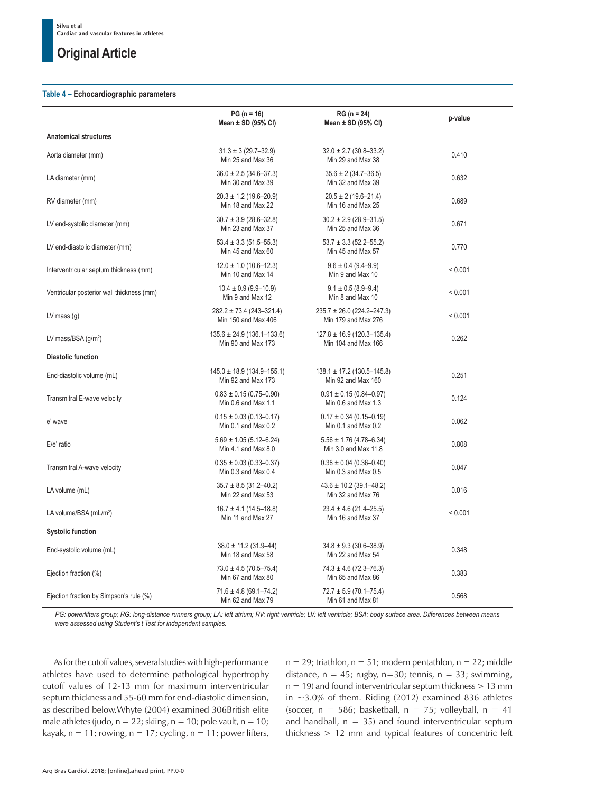#### **Table 4 – Echocardiographic parameters**

|                                           | $PG (n = 16)$<br>Mean $\pm$ SD (95% CI)                | RG (n = 24)<br>Mean $\pm$ SD (95% CI)                 | p-value |
|-------------------------------------------|--------------------------------------------------------|-------------------------------------------------------|---------|
| <b>Anatomical structures</b>              |                                                        |                                                       |         |
| Aorta diameter (mm)                       | $31.3 \pm 3 (29.7 - 32.9)$<br>Min 25 and Max 36        | $32.0 \pm 2.7 (30.8 - 33.2)$<br>Min 29 and Max 38     | 0.410   |
| LA diameter (mm)                          | $36.0 \pm 2.5 (34.6 - 37.3)$<br>Min 30 and Max 39      | $35.6 \pm 2 (34.7 - 36.5)$<br>Min 32 and Max 39       | 0.632   |
| RV diameter (mm)                          | $20.3 \pm 1.2$ (19.6–20.9)<br>Min 18 and Max 22        | $20.5 \pm 2(19.6 - 21.4)$<br>Min 16 and Max 25        | 0.689   |
| LV end-systolic diameter (mm)             | $30.7 \pm 3.9$ (28.6-32.8)<br>Min 23 and Max 37        | $30.2 \pm 2.9$ (28.9–31.5)<br>Min 25 and Max 36       | 0.671   |
| LV end-diastolic diameter (mm)            | $53.4 \pm 3.3$ (51.5-55.3)<br>Min 45 and Max 60        | $53.7 \pm 3.3$ (52.2-55.2)<br>Min 45 and Max 57       | 0.770   |
| Interventricular septum thickness (mm)    | $12.0 \pm 1.0$ (10.6-12.3)<br>Min 10 and Max 14        | $9.6 \pm 0.4$ (9.4–9.9)<br>Min 9 and Max 10           | < 0.001 |
| Ventricular posterior wall thickness (mm) | $10.4 \pm 0.9$ (9.9-10.9)<br>Min 9 and Max 12          | $9.1 \pm 0.5 (8.9 - 9.4)$<br>Min 8 and Max 10         | < 0.001 |
| LV mass $(g)$                             | $282.2 \pm 73.4 (243 - 321.4)$<br>Min 150 and Max 406  | $235.7 \pm 26.0$ (224.2-247.3)<br>Min 179 and Max 276 | < 0.001 |
| LV mass/BSA $(g/m2)$                      | $135.6 \pm 24.9$ (136.1–133.6)<br>Min 90 and Max 173   | $127.8 \pm 16.9$ (120.3-135.4)<br>Min 104 and Max 166 | 0.262   |
| <b>Diastolic function</b>                 |                                                        |                                                       |         |
| End-diastolic volume (mL)                 | $145.0 \pm 18.9$ (134.9-155.1)<br>Min 92 and Max 173   | $138.1 \pm 17.2$ (130.5-145.8)<br>Min 92 and Max 160  | 0.251   |
| Transmitral E-wave velocity               | $0.83 \pm 0.15 (0.75 - 0.90)$<br>Min 0.6 and Max 1.1   | $0.91 \pm 0.15 (0.84 - 0.97)$<br>Min 0.6 and Max 1.3  | 0.124   |
| e' wave                                   | $0.15 \pm 0.03$ (0.13-0.17)<br>Min 0.1 and Max 0.2     | $0.17 \pm 0.34$ (0.15-0.19)<br>Min 0.1 and Max 0.2    | 0.062   |
| E/e' ratio                                | $5.69 \pm 1.05 (5.12 - 6.24)$<br>Min 4.1 and Max 8.0   | $5.56 \pm 1.76$ (4.78-6.34)<br>Min 3.0 and Max 11.8   | 0.808   |
| Transmitral A-wave velocity               | $0.35 \pm 0.03$ (0.33-0.37)<br>Min $0.3$ and Max $0.4$ | $0.38 \pm 0.04$ (0.36-0.40)<br>Min 0.3 and Max 0.5    | 0.047   |
| LA volume (mL)                            | $35.7 \pm 8.5 (31.2 - 40.2)$<br>Min 22 and Max 53      | $43.6 \pm 10.2$ (39.1-48.2)<br>Min 32 and Max 76      | 0.016   |
| LA volume/BSA (mL/m <sup>2</sup> )        | $16.7 \pm 4.1 (14.5 - 18.8)$<br>Min 11 and Max 27      | $23.4 \pm 4.6$ (21.4-25.5)<br>Min 16 and Max 37       | < 0.001 |
| <b>Systolic function</b>                  |                                                        |                                                       |         |
| End-systolic volume (mL)                  | $38.0 \pm 11.2$ (31.9–44)<br>Min 18 and Max 58         | $34.8 \pm 9.3$ (30.6-38.9)<br>Min 22 and Max 54       | 0.348   |
| Ejection fraction (%)                     | $73.0 \pm 4.5 (70.5 - 75.4)$<br>Min 67 and Max 80      | $74.3 \pm 4.6$ (72.3-76.3)<br>Min 65 and Max 86       | 0.383   |
| Ejection fraction by Simpson's rule (%)   | $71.6 \pm 4.8$ (69.1–74.2)<br>Min 62 and Max 79        | $72.7 \pm 5.9$ (70.1–75.4)<br>Min 61 and Max 81       | 0.568   |

*PG: powerlifters group; RG: long-distance runners group; LA: left atrium; RV: right ventricle; LV: left ventricle; BSA: body surface area. Differences between means were assessed using Student's t Test for independent samples.*

As for the cutoff values, several studies with high-performance athletes have used to determine pathological hypertrophy cutoff values of 12-13 mm for maximum interventricular septum thickness and 55-60 mm for end-diastolic dimension, as described below.Whyte (2004) examined 306British elite male athletes (judo,  $n = 22$ ; skiing,  $n = 10$ ; pole vault,  $n = 10$ ; kayak,  $n = 11$ ; rowing,  $n = 17$ ; cycling,  $n = 11$ ; power lifters,  $n = 29$ ; triathlon,  $n = 51$ ; modern pentathlon,  $n = 22$ ; middle distance,  $n = 45$ ; rugby,  $n=30$ ; tennis,  $n = 33$ ; swimming,  $n = 19$ ) and found interventricular septum thickness  $> 13$  mm in  $\sim$ 3.0% of them. Riding (2012) examined 836 athletes (soccer,  $n = 586$ ; basketball,  $n = 75$ ; volleyball,  $n = 41$ and handball,  $n = 35$ ) and found interventricular septum thickness > 12 mm and typical features of concentric left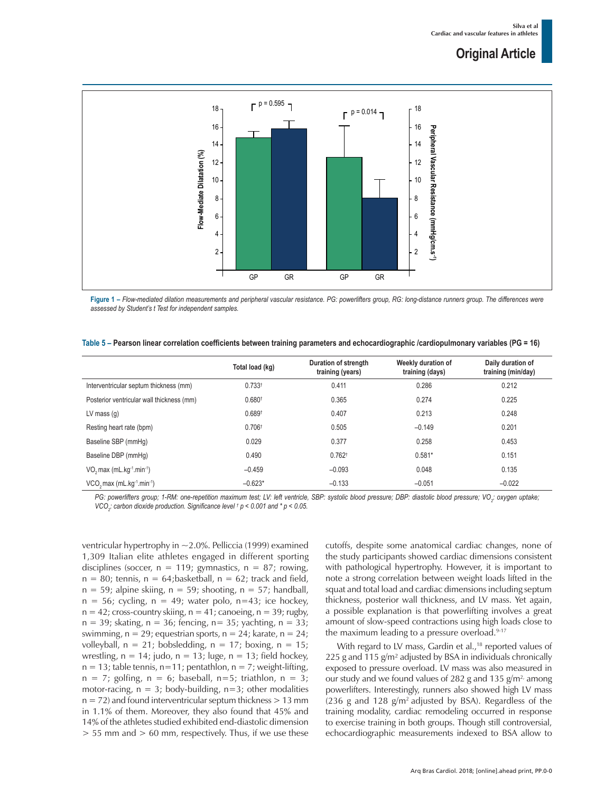

**Figure 1 –** *Flow-mediated dilation measurements and peripheral vascular resistance. PG: powerlifters group, RG: long-distance runners group. The differences were assessed by Student's t Test for independent samples.*

| Table 5 – Pearson linear correlation coefficients between training parameters and echocardiographic /cardiopulmonary variables (PG = 16) |  |  |
|------------------------------------------------------------------------------------------------------------------------------------------|--|--|
|                                                                                                                                          |  |  |

|                                                      | Total load (kg)    | Duration of strength<br>training (years) | Weekly duration of<br>training (days) | Daily duration of<br>training (min/day) |
|------------------------------------------------------|--------------------|------------------------------------------|---------------------------------------|-----------------------------------------|
| Interventricular septum thickness (mm)               | $0.733^{+}$        | 0.411                                    | 0.286                                 | 0.212                                   |
| Posterior ventricular wall thickness (mm)            | 0.680 <sup>†</sup> | 0.365                                    | 0.274                                 | 0.225                                   |
| LV mass $(q)$                                        | 0.689 <sup>†</sup> | 0.407                                    | 0.213                                 | 0.248                                   |
| Resting heart rate (bpm)                             | 0.706              | 0.505                                    | $-0.149$                              | 0.201                                   |
| Baseline SBP (mmHq)                                  | 0.029              | 0.377                                    | 0.258                                 | 0.453                                   |
| Baseline DBP (mmHq)                                  | 0.490              | $0.762$ <sup>t</sup>                     | $0.581*$                              | 0.151                                   |
| $VO, max (mL.kg-1.min-1)$                            | $-0.459$           | $-0.093$                                 | 0.048                                 | 0.135                                   |
| $VCO2$ max (mL.kg <sup>-1</sup> .min <sup>-1</sup> ) | $-0.623*$          | $-0.133$                                 | $-0.051$                              | $-0.022$                                |

*PG: powerlifters group; 1-RM: one-repetition maximum test; LV: left ventricle, SBP: systolic blood pressure; DBP: diastolic blood pressure; VO2 : oxygen uptake; VCO2 : carbon dioxide production. Significance level † p < 0.001 and \* p < 0.05.*

ventricular hypertrophy in ~2.0%. Pelliccia (1999) examined 1,309 Italian elite athletes engaged in different sporting disciplines (soccer,  $n = 119$ ; gymnastics,  $n = 87$ ; rowing,  $n = 80$ ; tennis,  $n = 64$ ; basketball,  $n = 62$ ; track and field,  $n = 59$ ; alpine skiing,  $n = 59$ ; shooting,  $n = 57$ ; handball,  $n = 56$ ; cycling,  $n = 49$ ; water polo,  $n=43$ ; ice hockey,  $n = 42$ ; cross-country skiing,  $n = 41$ ; canoeing,  $n = 39$ ; rugby,  $n = 39$ ; skating,  $n = 36$ ; fencing,  $n = 35$ ; yachting,  $n = 33$ ; swimming,  $n = 29$ ; equestrian sports,  $n = 24$ ; karate,  $n = 24$ ; volleyball,  $n = 21$ ; bobsledding,  $n = 17$ ; boxing,  $n = 15$ ; wrestling,  $n = 14$ ; judo,  $n = 13$ ; luge,  $n = 13$ ; field hockey,  $n = 13$ ; table tennis,  $n = 11$ ; pentathlon,  $n = 7$ ; weight-lifting,  $n = 7$ ; golfing,  $n = 6$ ; baseball,  $n=5$ ; triathlon,  $n = 3$ ; motor-racing,  $n = 3$ ; body-building,  $n=3$ ; other modalities  $n = 72$ ) and found interventricular septum thickness  $> 13$  mm in 1.1% of them. Moreover, they also found that 45% and 14% of the athletes studied exhibited end-diastolic dimension  $>$  55 mm and  $>$  60 mm, respectively. Thus, if we use these cutoffs, despite some anatomical cardiac changes, none of the study participants showed cardiac dimensions consistent with pathological hypertrophy. However, it is important to note a strong correlation between weight loads lifted in the squat and total load and cardiac dimensions including septum thickness, posterior wall thickness, and LV mass. Yet again, a possible explanation is that powerlifting involves a great amount of slow-speed contractions using high loads close to the maximum leading to a pressure overload.<sup>9-17</sup>

With regard to LV mass, Gardin et al.,<sup>18</sup> reported values of 225 g and 115 g/m² adjusted by BSA in individuals chronically exposed to pressure overload. LV mass was also measured in our study and we found values of 282 g and 135  $g/m^2$  among powerlifters. Interestingly, runners also showed high LV mass (236 g and 128  $g/m^2$  adjusted by BSA). Regardless of the training modality, cardiac remodeling occurred in response to exercise training in both groups. Though still controversial, echocardiographic measurements indexed to BSA allow to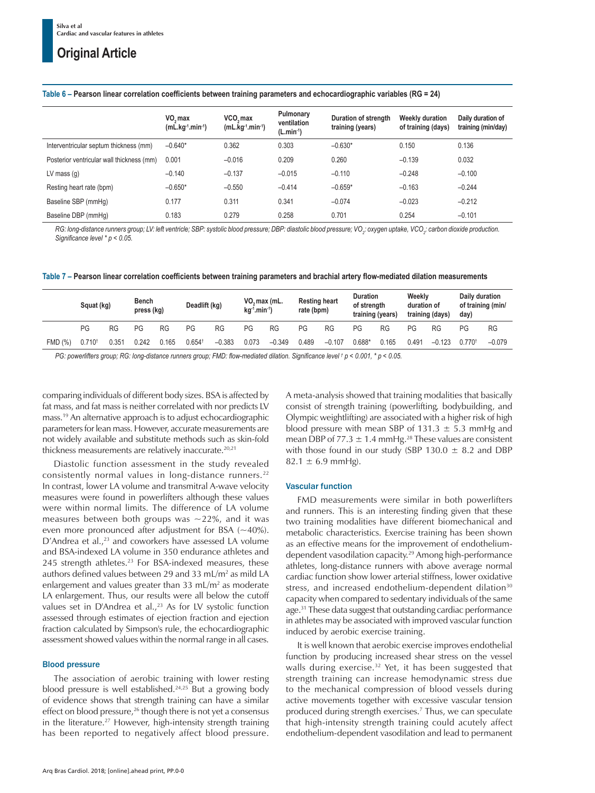#### **Table 6 – Pearson linear correlation coefficients between training parameters and echocardiographic variables (RG = 24)**

|                                           | VO <sub>2</sub> max<br>$(mL.kg-1.min-1)$ | VCO <sub>2</sub> max<br>$(mL.kg-1.min-1)$ | Pulmonary<br>ventilation<br>$(L.min-1)$ | Duration of strength<br>training (years) | Weekly duration<br>of training (days) | Daily duration of<br>training (min/day) |
|-------------------------------------------|------------------------------------------|-------------------------------------------|-----------------------------------------|------------------------------------------|---------------------------------------|-----------------------------------------|
| Interventricular septum thickness (mm)    | $-0.640*$                                | 0.362                                     | 0.303                                   | $-0.630*$                                | 0.150                                 | 0.136                                   |
| Posterior ventricular wall thickness (mm) | 0.001                                    | $-0.016$                                  | 0.209                                   | 0.260                                    | $-0.139$                              | 0.032                                   |
| LV mass $(q)$                             | $-0.140$                                 | $-0.137$                                  | $-0.015$                                | $-0.110$                                 | $-0.248$                              | $-0.100$                                |
| Resting heart rate (bpm)                  | $-0.650*$                                | $-0.550$                                  | $-0.414$                                | $-0.659*$                                | $-0.163$                              | $-0.244$                                |
| Baseline SBP (mmHq)                       | 0.177                                    | 0.311                                     | 0.341                                   | $-0.074$                                 | $-0.023$                              | $-0.212$                                |
| Baseline DBP (mmHq)                       | 0.183                                    | 0.279                                     | 0.258                                   | 0.701                                    | 0.254                                 | $-0.101$                                |

 ${\sf RG}$ : long-distance runners group; LV: left ventricle; SBP: systolic blood pressure; DBP: diastolic blood pressure; VO<sub>2</sub>: oxygen uptake, VCO<sub>2</sub>: carbon dioxide production. *Significance level \* p < 0.05.*

**Table 7 – Pearson linear correlation coefficients between training parameters and brachial artery flow-mediated dilation measurements**

|         | Squat (kg)  |       | Bench<br>press (kg) |       | Deadlift (kg)        |           | VO <sub>2</sub> max (mL.<br>$kg^{-1}$ .min $^{-1}$ ) |           | <b>Resting heart</b><br>rate (bpm) |           | <b>Duration</b><br>of strength<br>training (years) |       | Weekly<br>duration of | training (days) | Daily duration<br>of training (min/<br>day) |           |
|---------|-------------|-------|---------------------|-------|----------------------|-----------|------------------------------------------------------|-----------|------------------------------------|-----------|----------------------------------------------------|-------|-----------------------|-----------------|---------------------------------------------|-----------|
|         | PG          | RG.   | <b>PG</b>           | RG    | PG                   | <b>RG</b> | PG                                                   | <b>RG</b> | PG                                 | <b>RG</b> | PG                                                 | RG    | PG                    | <b>RG</b>       | PG                                          | <b>RG</b> |
| FMD (%) | $0.710^{+}$ | 0.351 | 0.242               | 0.165 | $0.654$ <sup>t</sup> | $-0.383$  | 0.073                                                | $-0.349$  | 0.489                              | $-0.107$  | $0.688*$                                           | 0.165 | 0.491                 | $-0.123$        | $0.770^{+}$                                 | $-0.079$  |

PG: powerlifters group; RG: long-distance runners group; FMD: flow-mediated dilation. Significance level † p < 0.001, \* p < 0.05.

comparing individuals of different body sizes. BSA is affected by fat mass, and fat mass is neither correlated with nor predicts LV mass.19 An alternative approach is to adjust echocardiographic parameters for lean mass. However, accurate measurements are not widely available and substitute methods such as skin-fold thickness measurements are relatively inaccurate.<sup>20,21</sup>

Diastolic function assessment in the study revealed consistently normal values in long-distance runners.<sup>22</sup> In contrast, lower LA volume and transmitral A-wave velocity measures were found in powerlifters although these values were within normal limits. The difference of LA volume measures between both groups was  $\sim$ 22%, and it was even more pronounced after adjustment for BSA  $(-40\%).$ D'Andrea et al.,<sup>23</sup> and coworkers have assessed LA volume and BSA-indexed LA volume in 350 endurance athletes and 245 strength athletes.<sup>23</sup> For BSA-indexed measures, these authors defined values between 29 and 33 mL/m² as mild LA enlargement and values greater than 33 mL/m<sup>2</sup> as moderate LA enlargement. Thus, our results were all below the cutoff values set in D'Andrea et al.,<sup>23</sup> As for LV systolic function assessed through estimates of ejection fraction and ejection fraction calculated by Simpson's rule, the echocardiographic assessment showed values within the normal range in all cases.

#### Blood pressure

The association of aerobic training with lower resting blood pressure is well established.<sup>24,25</sup> But a growing body of evidence shows that strength training can have a similar effect on blood pressure,<sup>26</sup> though there is not yet a consensus in the literature.<sup>27</sup> However, high-intensity strength training has been reported to negatively affect blood pressure. A meta-analysis showed that training modalities that basically consist of strength training (powerlifting*,* bodybuilding, and Olympic weightlifting) are associated with a higher risk of high blood pressure with mean SBP of 131.3  $\pm$  5.3 mmHg and mean DBP of 77.3  $\pm$  1.4 mmHg.<sup>28</sup> These values are consistent with those found in our study (SBP 130.0  $\pm$  8.2 and DBP  $82.1 \pm 6.9$  mmHg).

#### Vascular function

FMD measurements were similar in both powerlifters and runners. This is an interesting finding given that these two training modalities have different biomechanical and metabolic characteristics. Exercise training has been shown as an effective means for the improvement of endotheliumdependent vasodilation capacity.29 Among high-performance athletes, long-distance runners with above average normal cardiac function show lower arterial stiffness, lower oxidative stress, and increased endothelium-dependent dilation<sup>30</sup> capacity when compared to sedentary individuals of the same age.<sup>31</sup> These data suggest that outstanding cardiac performance in athletes may be associated with improved vascular function induced by aerobic exercise training.

It is well known that aerobic exercise improves endothelial function by producing increased shear stress on the vessel walls during exercise.<sup>32</sup> Yet, it has been suggested that strength training can increase hemodynamic stress due to the mechanical compression of blood vessels during active movements together with excessive vascular tension produced during strength exercises.7 Thus, we can speculate that high-intensity strength training could acutely affect endothelium-dependent vasodilation and lead to permanent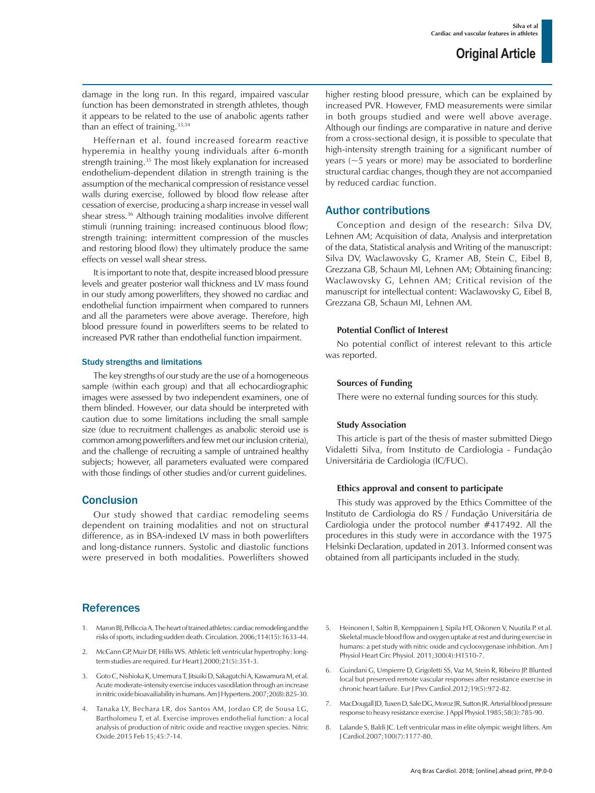damage in the long run. In this regard, impaired vascular function has been demonstrated in strength athletes, though it appears to be related to the use of anabolic agents rather than an effect of training.33,34

Heffernan et al. found increased forearm reactive hyperemia in healthy young individuals after 6-month strength training.35 The most likely explanation for increased endothelium-dependent dilation in strength training is the assumption of the mechanical compression of resistance vessel walls during exercise, followed by blood flow release after cessation of exercise, producing a sharp increase in vessel wall shear stress.36 Although training modalities involve different stimuli (running training: increased continuous blood flow; strength training: intermittent compression of the muscles and restoring blood flow) they ultimately produce the same effects on vessel wall shear stress.

It is important to note that, despite increased blood pressure levels and greater posterior wall thickness and LV mass found in our study among powerlifters, they showed no cardiac and endothelial function impairment when compared to runners and all the parameters were above average. Therefore, high blood pressure found in powerlifters seems to be related to increased PVR rather than endothelial function impairment.

#### Study strengths and limitations

The key strengths of our study are the use of a homogeneous sample (within each group) and that all echocardiographic images were assessed by two independent examiners, one of them blinded. However, our data should be interpreted with caution due to some limitations including the small sample size (due to recruitment challenges as anabolic steroid use is common among powerlifters and few met our inclusion criteria), and the challenge of recruiting a sample of untrained healthy subjects; however, all parameters evaluated were compared with those findings of other studies and/or current guidelines.

## **Conclusion**

Our study showed that cardiac remodeling seems dependent on training modalities and not on structural difference, as in BSA-indexed LV mass in both powerlifters and long-distance runners. Systolic and diastolic functions were preserved in both modalities. Powerlifters showed

## **References**

- 1. Maron BJ, Pelliccia A. The heart of trained athletes: cardiac remodeling and the risks of sports, including sudden death. Circulation. 2006;114(15):1633-44.
- 2. McCann GP, Muir DF, Hillis WS. Athletic left ventricular hypertrophy: longterm studies are required. Eur Heart J.2000;21(5):351-3.
- 3. Goto C, Nishioka K, Umemura T, Jitsuiki D, Sakagutchi A, Kawamura M, et al. Acute moderate-intensity exercise induces vasodilation through an increase in nitric oxide bioavailiability in humans. Am J Hypertens.2007;20(8):825-30.
- 4. Tanaka LY, Bechara LR, dos Santos AM, Jordao CP, de Sousa LG, Bartholomeu T, et al. Exercise improves endothelial function: a local analysis of production of nitric oxide and reactive oxygen species. Nitric Oxide.2015 Feb 15;45:7-14.

higher resting blood pressure, which can be explained by increased PVR. However, FMD measurements were similar in both groups studied and were well above average. Although our findings are comparative in nature and derive from a cross-sectional design, it is possible to speculate that high-intensity strength training for a significant number of years ( $\sim$ 5 years or more) may be associated to borderline structural cardiac changes, though they are not accompanied by reduced cardiac function.

## Author contributions

Conception and design of the research: Silva DV, Lehnen AM; Acquisition of data, Analysis and interpretation of the data, Statistical analysis and Writing of the manuscript: Silva DV, Waclawovsky G, Kramer AB, Stein C, Eibel B, Grezzana GB, Schaun MI, Lehnen AM; Obtaining financing: Waclawovsky G, Lehnen AM; Critical revision of the manuscript for intellectual content: Waclawovsky G, Eibel B, Grezzana GB, Schaun MI, Lehnen AM.

## **Potential Conflict of Interest**

No potential conflict of interest relevant to this article was reported.

## **Sources of Funding**

There were no external funding sources for this study.

## **Study Association**

This article is part of the thesis of master submitted Diego Vidaletti Silva, from Instituto de Cardiologia - Fundação Universitária de Cardiologia (IC/FUC).

#### **Ethics approval and consent to participate**

This study was approved by the Ethics Committee of the Instituto de Cardiologia do RS / Fundação Universitária de Cardiologia under the protocol number #417492. All the procedures in this study were in accordance with the 1975 Helsinki Declaration, updated in 2013. Informed consent was obtained from all participants included in the study.

- 5. Heinonen I, Saltin B, Kemppainen J, Sipila HT, Oikonen V, Nuutila P. et al. Skeletal muscle blood flow and oxygen uptake at rest and during exercise in humans: a pet study with nitric oxide and cyclooxygenase inhibition. Am J Physiol Heart Circ Physiol. 2011;300(4):H1510-7.
- 6. Guindani G, Umpierre D, Grigoletti SS, Vaz M, Stein R, Ribeiro JP. Blunted local but preserved remote vascular responses after resistance exercise in chronic heart failure. Eur J Prev Cardiol.2012;19(5):972-82.
- 7. MacDougall JD, Tuxen D, Sale DG, Moroz JR, Sutton JR. Arterial blood pressure response to heavy resistance exercise. J Appl Physiol.1985;58(3):785-90.
- 8. Lalande S, Baldi JC. Left ventricular mass in elite olympic weight lifters. Am J Cardiol.2007;100(7):1177-80.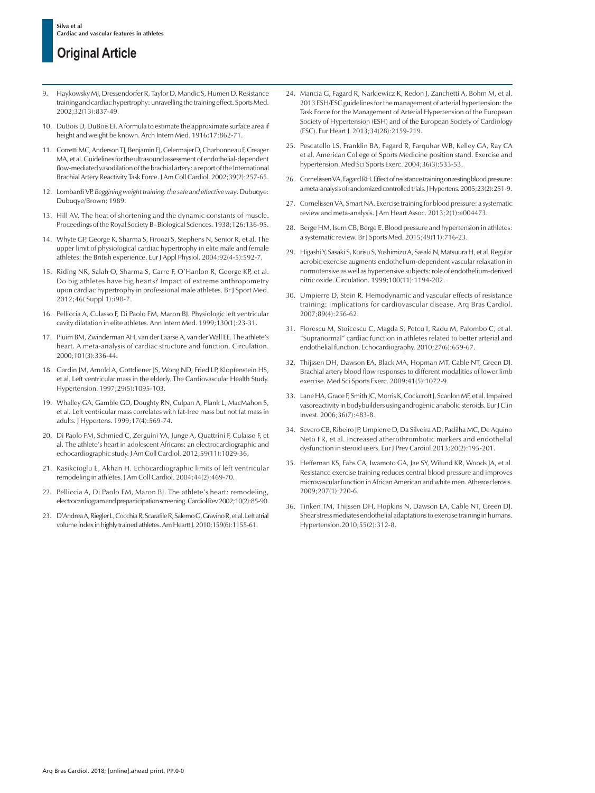#### **Silva et al Cardiac and vascular features in athletes**

## **Original Article**

- 9. Haykowsky MJ, Dressendorfer R, Taylor D, Mandic S, Humen D. Resistance training and cardiac hypertrophy: unravelling the training effect. Sports Med. 2002;32(13):837-49.
- 10. DuBois D, DuBois EF. A formula to estimate the approximate surface area if height and weight be known. Arch Intern Med. 1916;17:862-71.
- 11. Corretti MC, Anderson TJ, Benjamin EJ, Celermajer D, Charbonneau F, Creager MA, et al. Guidelines for the ultrasound assessment of endothelial-dependent flow-mediated vasodilation of the brachial artery: a report of the International Brachial Artery Reactivity Task Force. J Am Coll Cardiol. 2002;39(2):257-65.
- 12. Lombardi VP. *Beggining weight training: the safe and effective way*. Dubuqye: Dubuqye/Brown; 1989.
- 13. Hill AV. The heat of shortening and the dynamic constants of muscle. Proceedings of the Royal Society B- Biological Sciences. 1938;126:136-95.
- 14. Whyte GP, George K, Sharma S, Firoozi S, Stephens N, Senior R, et al. The upper limit of physiological cardiac hypertrophy in elite male and female athletes: the British experience. Eur J Appl Physiol. 2004;92(4-5):592-7.
- 15. Riding NR, Salah O, Sharma S, Carre F, O'Hanlon R, George KP, et al. Do big athletes have big hearts? Impact of extreme anthropometry upon cardiac hypertrophy in professional male athletes. Br J Sport Med. 2012;46( Suppl 1):i90-7.
- 16. Pelliccia A, Culasso F, Di Paolo FM, Maron BJ. Physiologic left ventricular cavity dilatation in elite athletes. Ann Intern Med. 1999;130(1):23-31.
- 17. Pluim BM, Zwinderman AH, van der Laarse A, van der Wall EE. The athlete's heart. A meta-analysis of cardiac structure and function. Circulation. 2000;101(3):336-44.
- 18. Gardin JM, Arnold A, Gottdiener JS, Wong ND, Fried LP, Klopfenstein HS, et al. Left ventricular mass in the elderly. The Cardiovascular Health Study. Hypertension. 1997;29(5):1095-103.
- 19. Whalley GA, Gamble GD, Doughty RN, Culpan A, Plank L, MacMahon S, et al. Left ventricular mass correlates with fat-free mass but not fat mass in adults. J Hypertens. 1999;17(4):569-74.
- 20. Di Paolo FM, Schmied C, Zerguini YA, Junge A, Quattrini F, Culasso F, et al. The athlete's heart in adolescent Africans: an electrocardiographic and echocardiographic study. J Am Coll Cardiol. 2012;59(11):1029-36.
- 21. Kasikcioglu E, Akhan H. Echocardiographic limits of left ventricular remodeling in athletes. J Am Coll Cardiol. 2004;44(2):469-70.
- 22. Pelliccia A, Di Paolo FM, Maron BJ. The athlete's heart: remodeling, electrocardiogram and preparticipation screening. Cardiol Rev.2002;10(2):85-90.
- 23. D'Andrea A, Riegler L, Cocchia R, Scarafile R, Salerno G, Gravino R, et al. Left atrial volume index in highly trained athletes. Am Heartt J. 2010;159(6):1155-61.
- 24. Mancia G, Fagard R, Narkiewicz K, Redon J, Zanchetti A, Bohm M, et al. 2013 ESH/ESC guidelines for the management of arterial hypertension: the Task Force for the Management of Arterial Hypertension of the European Society of Hypertension (ESH) and of the European Society of Cardiology (ESC). Eur Heart J. 2013;34(28):2159-219.
- 25. Pescatello LS, Franklin BA, Fagard R, Farquhar WB, Kelley GA, Ray CA et al. American College of Sports Medicine position stand. Exercise and hypertension. Med Sci Sports Exerc. 2004;36(3):533-53.
- 26. Cornelissen VA, Fagard RH. Effect of resistance training on resting blood pressure: a meta-analysis of randomized controlled trials. J Hypertens. 2005;23(2):251-9.
- 27. Cornelissen VA, Smart NA. Exercise training for blood pressure: a systematic review and meta-analysis. J Am Heart Assoc. 2013;2(1):e004473.
- 28. Berge HM, Isern CB, Berge E. Blood pressure and hypertension in athletes: a systematic review. Br J Sports Med. 2015;49(11):716-23.
- 29. Higashi Y, Sasaki S, Kurisu S, Yoshimizu A, Sasaki N, Matsuura H, et al. Regular aerobic exercise augments endothelium-dependent vascular relaxation in normotensive as well as hypertensive subjects: role of endothelium-derived nitric oxide. Circulation. 1999;100(11):1194-202.
- 30. Umpierre D, Stein R. Hemodynamic and vascular effects of resistance training: implications for cardiovascular disease. Arq Bras Cardiol. 2007;89(4):256-62.
- 31. Florescu M, Stoicescu C, Magda S, Petcu I, Radu M, Palombo C, et al. "Supranormal" cardiac function in athletes related to better arterial and endothelial function. Echocardiography. 2010;27(6):659-67.
- 32. Thijssen DH, Dawson EA, Black MA, Hopman MT, Cable NT, Green DJ. Brachial artery blood flow responses to different modalities of lower limb exercise. Med Sci Sports Exerc. 2009;41(5):1072-9.
- 33. Lane HA, Grace F, Smith JC, Morris K, Cockcroft J, Scanlon MF, et al. Impaired vasoreactivity in bodybuilders using androgenic anabolic steroids. Eur J Clin Invest. 2006;36(7):483-8.
- 34. Severo CB, Ribeiro JP, Umpierre D, Da Silveira AD, Padilha MC, De Aquino Neto FR, et al. Increased atherothrombotic markers and endothelial dysfunction in steroid users. Eur J Prev Cardiol.2013;20(2):195-201.
- 35. Heffernan KS, Fahs CA, Iwamoto GA, Jae SY, Wilund KR, Woods JA, et al. Resistance exercise training reduces central blood pressure and improves microvascular function in African American and white men. Atherosclerosis. 2009;207(1):220-6.
- 36. Tinken TM, Thijssen DH, Hopkins N, Dawson EA, Cable NT, Green DJ. Shear stress mediates endothelial adaptations to exercise training in humans. Hypertension.2010;55(2):312-8.